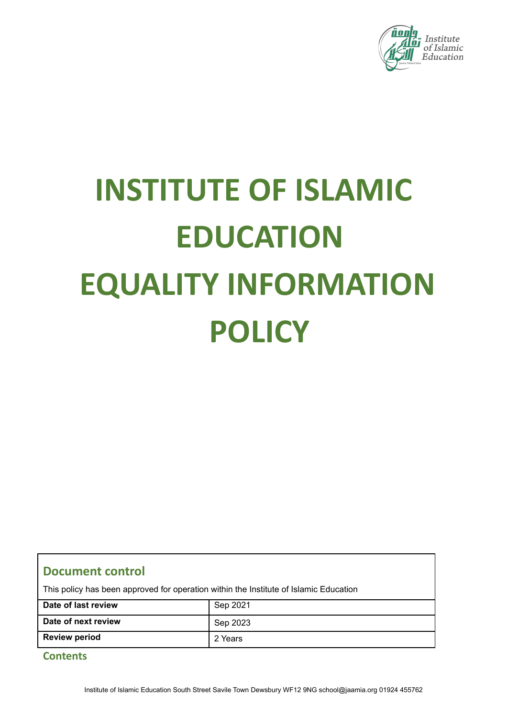

# **INSTITUTE OF ISLAMIC EDUCATION EQUALITY INFORMATION POLICY**

#### **Document control**

This policy has been approved for operation within the Institute of Islamic Education

| Date of last review  | Sep 2021 |
|----------------------|----------|
| Date of next review  | Sep 2023 |
| <b>Review period</b> | 2 Years  |

#### **Contents**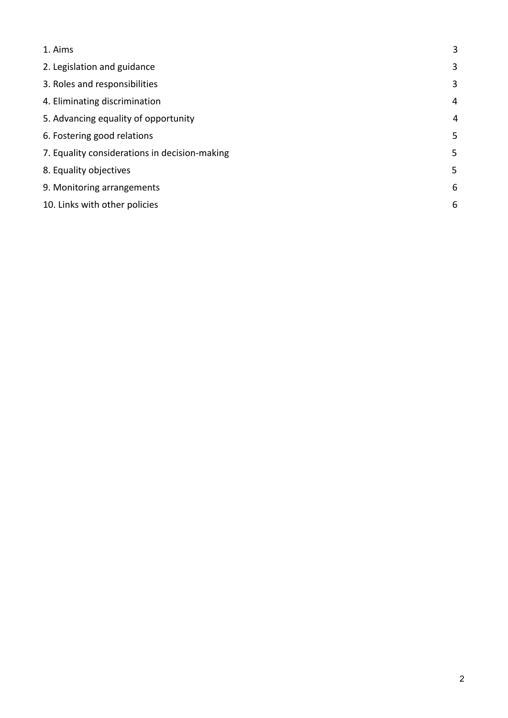<span id="page-1-0"></span>

| 1. Aims                                       | 3 |
|-----------------------------------------------|---|
| 2. Legislation and guidance                   | 3 |
| 3. Roles and responsibilities                 | 3 |
| 4. Eliminating discrimination                 | 4 |
| 5. Advancing equality of opportunity          | 4 |
| 6. Fostering good relations                   | 5 |
| 7. Equality considerations in decision-making | 5 |
| 8. Equality objectives                        | 5 |
| 9. Monitoring arrangements                    | 6 |
| 10. Links with other policies                 | 6 |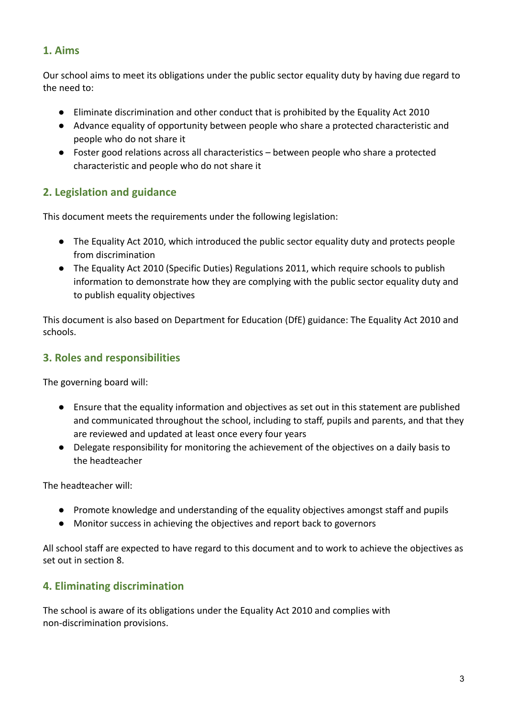#### **1. Aims**

Our school aims to meet its obligations under the public sector equality duty by having due regard to the need to:

- Eliminate discrimination and other conduct that is prohibited by the Equality Act 2010
- <span id="page-2-0"></span>● Advance equality of opportunity between people who share a protected characteristic and people who do not share it
- Foster good relations across all characteristics between people who share a protected characteristic and people who do not share it

### **2. Legislation and guidance**

This document meets the requirements under the following legislation:

- The Equality Act 2010, which introduced the public sector equality duty and protects people from discrimination
- The Equality Act 2010 (Specific Duties) Regulations 2011, which require schools to publish information to demonstrate how they are complying with the public sector equality duty and to publish equality objectives

This document is also based on Department for Education (DfE) guidance: The Equality Act 2010 and schools.

#### <span id="page-2-1"></span>**3. Roles and responsibilities**

The governing board will:

- Ensure that the equality information and objectives as set out in this statement are published and communicated throughout the school, including to staff, pupils and parents, and that they are reviewed and updated at least once every four years
- Delegate responsibility for monitoring the achievement of the objectives on a daily basis to the headteacher

The headteacher will:

- Promote knowledge and understanding of the equality objectives amongst staff and pupils
- Monitor success in achieving the objectives and report back to governors

<span id="page-2-2"></span>All school staff are expected to have regard to this document and to work to achieve the objectives as set out in section 8.

# **4. Eliminating discrimination**

The school is aware of its obligations under the Equality Act 2010 and complies with non-discrimination provisions.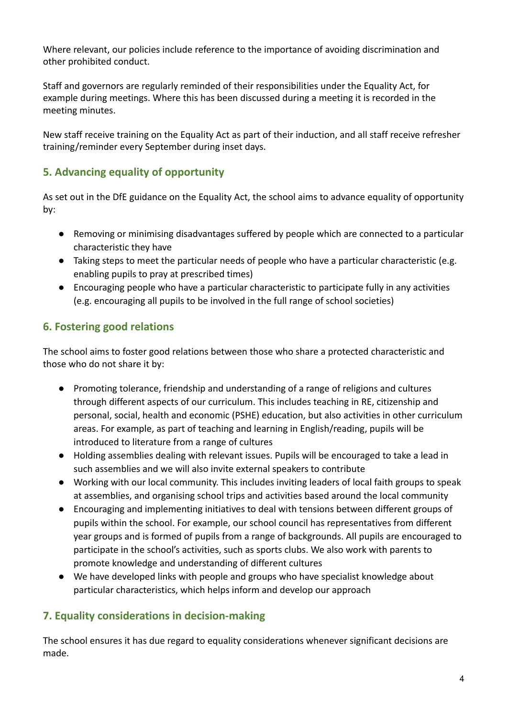Where relevant, our policies include reference to the importance of avoiding discrimination and other prohibited conduct.

Staff and governors are regularly reminded of their responsibilities under the Equality Act, for example during meetings. Where this has been discussed during a meeting it is recorded in the meeting minutes.

<span id="page-3-0"></span>New staff receive training on the Equality Act as part of their induction, and all staff receive refresher training/reminder every September during inset days.

# **5. Advancing equality of opportunity**

As set out in the DfE guidance on the Equality Act, the school aims to advance equality of opportunity by:

- Removing or minimising disadvantages suffered by people which are connected to a particular characteristic they have
- Taking steps to meet the particular needs of people who have a particular characteristic (e.g. enabling pupils to pray at prescribed times)
- Encouraging people who have a particular characteristic to participate fully in any activities (e.g. encouraging all pupils to be involved in the full range of school societies)

### **6. Fostering good relations**

The school aims to foster good relations between those who share a protected characteristic and those who do not share it by:

- Promoting tolerance, friendship and understanding of a range of religions and cultures through different aspects of our curriculum. This includes teaching in RE, citizenship and personal, social, health and economic (PSHE) education, but also activities in other curriculum areas. For example, as part of teaching and learning in English/reading, pupils will be introduced to literature from a range of cultures
- Holding assemblies dealing with relevant issues. Pupils will be encouraged to take a lead in such assemblies and we will also invite external speakers to contribute
- Working with our local community. This includes inviting leaders of local faith groups to speak at assemblies, and organising school trips and activities based around the local community
- Encouraging and implementing initiatives to deal with tensions between different groups of pupils within the school. For example, our school council has representatives from different year groups and is formed of pupils from a range of backgrounds. All pupils are encouraged to participate in the school's activities, such as sports clubs. We also work with parents to promote knowledge and understanding of different cultures
- <span id="page-3-1"></span>● We have developed links with people and groups who have specialist knowledge about particular characteristics, which helps inform and develop our approach

# **7. Equality considerations in decision-making**

The school ensures it has due regard to equality considerations whenever significant decisions are made.